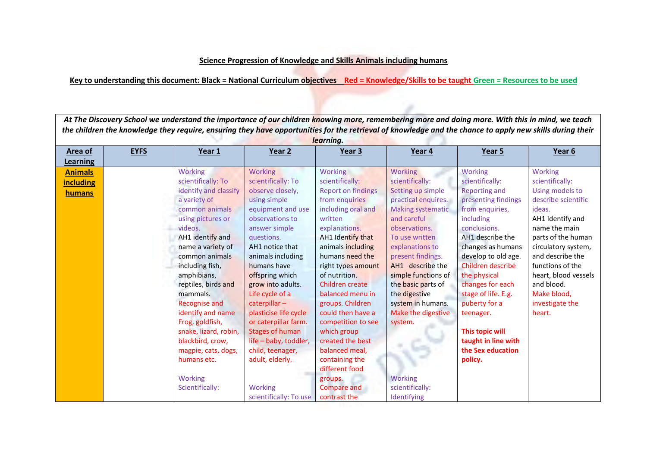## **Science Progression of Knowledge and Skills Animals including humans**

**Key to understanding this document: Black = National Curriculum objectives Red = Knowledge/Skills to be taught Green = Resources to be used**

| At The Discovery School we understand the importance of our children knowing more, remembering more and doing more. With this in mind, we teach<br>the children the knowledge they require, ensuring they have opportunities for the retrieval of knowledge and the chance to apply new skills during their<br>learning. |             |                                                                                                                                                                                                                                                                                                                                                                                                                                                  |                                                                                                                                                                                                                                                                                                                                                                                                                                                                          |                                                                                                                                                                                                                                                                                                                                                                                                                                                                                 |                                                                                                                                                                                                                                                                                                                                                                                          |                                                                                                                                                                                                                                                                                                                                                                                   |                                                                                                                                                                                                                                                                                            |  |
|--------------------------------------------------------------------------------------------------------------------------------------------------------------------------------------------------------------------------------------------------------------------------------------------------------------------------|-------------|--------------------------------------------------------------------------------------------------------------------------------------------------------------------------------------------------------------------------------------------------------------------------------------------------------------------------------------------------------------------------------------------------------------------------------------------------|--------------------------------------------------------------------------------------------------------------------------------------------------------------------------------------------------------------------------------------------------------------------------------------------------------------------------------------------------------------------------------------------------------------------------------------------------------------------------|---------------------------------------------------------------------------------------------------------------------------------------------------------------------------------------------------------------------------------------------------------------------------------------------------------------------------------------------------------------------------------------------------------------------------------------------------------------------------------|------------------------------------------------------------------------------------------------------------------------------------------------------------------------------------------------------------------------------------------------------------------------------------------------------------------------------------------------------------------------------------------|-----------------------------------------------------------------------------------------------------------------------------------------------------------------------------------------------------------------------------------------------------------------------------------------------------------------------------------------------------------------------------------|--------------------------------------------------------------------------------------------------------------------------------------------------------------------------------------------------------------------------------------------------------------------------------------------|--|
| <b>Area of</b><br>Learning                                                                                                                                                                                                                                                                                               | <b>EYFS</b> | Year 1                                                                                                                                                                                                                                                                                                                                                                                                                                           | Year 2                                                                                                                                                                                                                                                                                                                                                                                                                                                                   | Year 3                                                                                                                                                                                                                                                                                                                                                                                                                                                                          | Year 4                                                                                                                                                                                                                                                                                                                                                                                   | Year 5                                                                                                                                                                                                                                                                                                                                                                            | Year 6                                                                                                                                                                                                                                                                                     |  |
| <b>Animals</b><br><b>including</b><br>humans                                                                                                                                                                                                                                                                             |             | <b>Working</b><br>scientifically: To<br>identify and classify<br>a variety of<br>common animals<br>using pictures or<br>videos.<br>AH1 identify and<br>name a variety of<br>common animals<br>including fish,<br>amphibians,<br>reptiles, birds and<br>mammals.<br><b>Recognise and</b><br>identify and name<br>Frog, goldfish,<br>snake, lizard, robin,<br>blackbird, crow,<br>magpie, cats, dogs,<br>humans etc.<br>Working<br>Scientifically: | <b>Working</b><br>scientifically: To<br>observe closely,<br>using simple<br>equipment and use<br>observations to<br>answer simple<br>questions.<br>AH1 notice that<br>animals including<br>humans have<br>offspring which<br>grow into adults.<br>Life cycle of a<br>caterpillar-<br>plasticise life cycle<br>or caterpillar farm.<br><b>Stages of human</b><br>life - baby, toddler,<br>child, teenager,<br>adult, elderly.<br><b>Working</b><br>scientifically: To use | Working<br>scientifically:<br><b>Report on findings</b><br>from enquiries<br>including oral and<br>written<br>explanations.<br>AH1 Identify that<br>animals including<br>humans need the<br>right types amount<br>of nutrition.<br>Children create<br>balanced menu in<br>groups. Children<br>could then have a<br>competition to see<br>which group<br>created the best<br>balanced meal,<br>containing the<br>different food<br>groups.<br><b>Compare and</b><br>contrast the | Working<br>scientifically:<br>Setting up simple<br>practical enquires.<br><b>Making systematic</b><br>and careful<br>observations.<br>To use written<br>explanations to<br>present findings.<br>AH1 describe the<br>simple functions of<br>the basic parts of<br>the digestive<br>system in humans.<br>Make the digestive<br>system.<br><b>Working</b><br>scientifically:<br>Identifying | Working<br>scientifically:<br><b>Reporting and</b><br>presenting findings<br>from enquiries,<br>including<br>conclusions.<br>AH1 describe the<br>changes as humans<br>develop to old age.<br>Children describe<br>the physical<br>changes for each<br>stage of life. E.g.<br>puberty for a<br>teenager.<br>This topic will<br>taught in line with<br>the Sex education<br>policy. | Working<br>scientifically:<br>Using models to<br>describe scientific<br>ideas.<br>AH1 Identify and<br>name the main<br>parts of the human<br>circulatory system,<br>and describe the<br>functions of the<br>heart, blood vessels<br>and blood.<br>Make blood,<br>investigate the<br>heart. |  |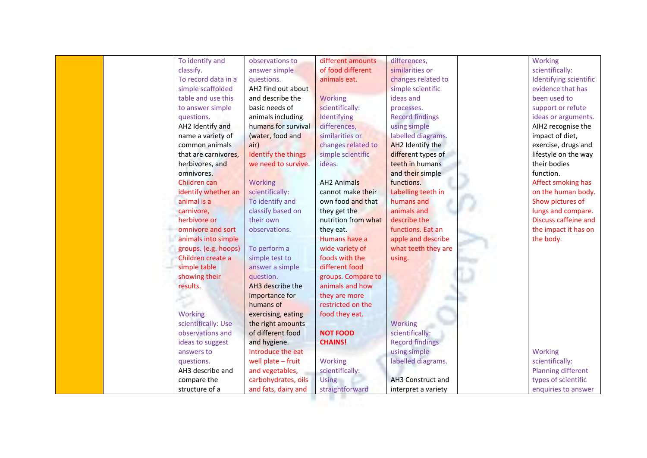|          | To identify and<br>classify.<br>To record data in a<br>simple scaffolded<br>table and use this<br>to answer simple<br>questions.<br>AH2 Identify and<br>name a variety of | observations to<br>answer simple<br>questions.<br>AH2 find out about<br>and describe the<br>basic needs of<br>animals including<br>humans for survival | different amounts<br>of food different<br>animals eat.<br>Working<br>scientifically:<br>Identifying | differences,<br>similarities or<br>changes related to<br>simple scientific<br>ideas and<br>processes. | Working<br>scientifically:<br>Identifying scientific<br>evidence that has<br>been used to<br>support or refute |
|----------|---------------------------------------------------------------------------------------------------------------------------------------------------------------------------|--------------------------------------------------------------------------------------------------------------------------------------------------------|-----------------------------------------------------------------------------------------------------|-------------------------------------------------------------------------------------------------------|----------------------------------------------------------------------------------------------------------------|
|          |                                                                                                                                                                           |                                                                                                                                                        |                                                                                                     |                                                                                                       |                                                                                                                |
|          |                                                                                                                                                                           |                                                                                                                                                        |                                                                                                     |                                                                                                       |                                                                                                                |
|          |                                                                                                                                                                           |                                                                                                                                                        |                                                                                                     |                                                                                                       |                                                                                                                |
|          |                                                                                                                                                                           |                                                                                                                                                        |                                                                                                     |                                                                                                       |                                                                                                                |
|          |                                                                                                                                                                           |                                                                                                                                                        |                                                                                                     |                                                                                                       |                                                                                                                |
|          |                                                                                                                                                                           |                                                                                                                                                        |                                                                                                     |                                                                                                       |                                                                                                                |
|          |                                                                                                                                                                           |                                                                                                                                                        |                                                                                                     | <b>Record findings</b>                                                                                | ideas or arguments.                                                                                            |
|          |                                                                                                                                                                           |                                                                                                                                                        | differences,                                                                                        | using simple                                                                                          | AIH2 recognise the                                                                                             |
|          |                                                                                                                                                                           | (water, food and                                                                                                                                       | similarities or                                                                                     | labelled diagrams.                                                                                    | impact of diet,                                                                                                |
|          | common animals                                                                                                                                                            | air)                                                                                                                                                   | changes related to                                                                                  | AH2 Identify the                                                                                      | exercise, drugs and                                                                                            |
|          | that are carnivores,                                                                                                                                                      | Identify the things                                                                                                                                    | simple scientific                                                                                   | different types of                                                                                    | lifestyle on the way                                                                                           |
|          | herbivores, and                                                                                                                                                           | we need to survive.                                                                                                                                    | ideas.                                                                                              | teeth in humans                                                                                       | their bodies                                                                                                   |
|          | omnivores.                                                                                                                                                                |                                                                                                                                                        |                                                                                                     | and their simple                                                                                      | function.                                                                                                      |
|          | Children can                                                                                                                                                              | Working                                                                                                                                                | <b>AH2 Animals</b>                                                                                  | functions.                                                                                            | Affect smoking has                                                                                             |
|          | identify whether an                                                                                                                                                       | scientifically:                                                                                                                                        | cannot make their                                                                                   | Labelling teeth in                                                                                    | on the human body.                                                                                             |
|          | animal is a                                                                                                                                                               | To identify and                                                                                                                                        | own food and that                                                                                   | humans and                                                                                            | Show pictures of                                                                                               |
|          | carnivore,                                                                                                                                                                | classify based on                                                                                                                                      | they get the                                                                                        | animals and                                                                                           | lungs and compare.                                                                                             |
|          | herbivore or                                                                                                                                                              | their own                                                                                                                                              | nutrition from what                                                                                 | describe the                                                                                          | Discuss caffeine and                                                                                           |
|          | omnivore and sort                                                                                                                                                         | observations.                                                                                                                                          | they eat.                                                                                           | functions. Eat an                                                                                     | the impact it has on                                                                                           |
|          | animals into simple                                                                                                                                                       |                                                                                                                                                        | Humans have a                                                                                       | apple and describe                                                                                    | the body.                                                                                                      |
|          | groups. (e.g. hoops)                                                                                                                                                      | To perform a                                                                                                                                           | wide variety of                                                                                     | what teeth they are                                                                                   |                                                                                                                |
|          | Children create a                                                                                                                                                         | simple test to                                                                                                                                         | foods with the                                                                                      | using.                                                                                                |                                                                                                                |
|          | simple table                                                                                                                                                              | answer a simple                                                                                                                                        | different food                                                                                      |                                                                                                       |                                                                                                                |
|          | showing their                                                                                                                                                             | question.                                                                                                                                              | groups. Compare to                                                                                  |                                                                                                       |                                                                                                                |
| results. |                                                                                                                                                                           | AH3 describe the                                                                                                                                       | animals and how                                                                                     |                                                                                                       |                                                                                                                |
|          |                                                                                                                                                                           | importance for                                                                                                                                         | they are more                                                                                       |                                                                                                       |                                                                                                                |
|          |                                                                                                                                                                           | humans of                                                                                                                                              | restricted on the                                                                                   |                                                                                                       |                                                                                                                |
|          | Working                                                                                                                                                                   | exercising, eating                                                                                                                                     | food they eat.                                                                                      |                                                                                                       |                                                                                                                |
|          | scientifically: Use                                                                                                                                                       | the right amounts                                                                                                                                      |                                                                                                     | <b>Working</b>                                                                                        |                                                                                                                |
|          | observations and                                                                                                                                                          | of different food                                                                                                                                      | <b>NOT FOOD</b>                                                                                     | scientifically:                                                                                       |                                                                                                                |
|          | ideas to suggest                                                                                                                                                          | and hygiene.                                                                                                                                           | <b>CHAINS!</b>                                                                                      | <b>Record findings</b>                                                                                |                                                                                                                |
|          | answers to                                                                                                                                                                | Introduce the eat                                                                                                                                      |                                                                                                     | using simple                                                                                          | Working                                                                                                        |
|          | questions.                                                                                                                                                                | well plate $-$ fruit                                                                                                                                   | Working                                                                                             | labelled diagrams.                                                                                    | scientifically:                                                                                                |
|          | AH3 describe and                                                                                                                                                          | and vegetables,                                                                                                                                        | scientifically:                                                                                     |                                                                                                       | <b>Planning different</b>                                                                                      |
|          | compare the                                                                                                                                                               | carbohydrates, oils                                                                                                                                    | <b>Using</b>                                                                                        | AH3 Construct and                                                                                     | types of scientific                                                                                            |
|          | structure of a                                                                                                                                                            | and fats, dairy and                                                                                                                                    | straightforward                                                                                     | interpret a variety                                                                                   | enquiries to answer                                                                                            |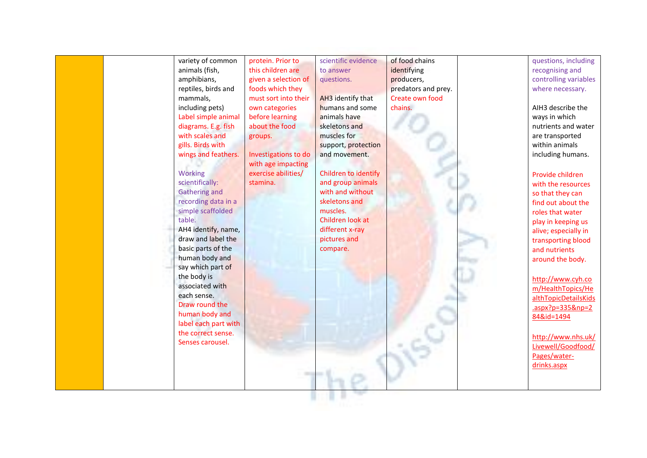| variety of common                          | protein. Prior to    | scientific evidence  | of food chains      | questions, including  |
|--------------------------------------------|----------------------|----------------------|---------------------|-----------------------|
| animals (fish,                             | this children are    | to answer            | identifying         | recognising and       |
| amphibians,                                | given a selection of | questions.           | producers,          | controlling variables |
| reptiles, birds and                        | foods which they     |                      | predators and prey. | where necessary.      |
| mammals,                                   | must sort into their | AH3 identify that    | Create own food     |                       |
| including pets)                            | own categories       | humans and some      | chains.             | AIH3 describe the     |
| Label simple animal                        | before learning      | animals have         |                     | ways in which         |
| diagrams. E.g. fish                        | about the food       | skeletons and        |                     | nutrients and water   |
| with scales and                            | groups.              | muscles for          |                     | are transported       |
| gills. Birds with                          |                      | support, protection  |                     | within animals        |
| wings and feathers.                        | Investigations to do | and movement.        |                     | including humans.     |
|                                            | with age impacting   |                      |                     |                       |
| Working                                    | exercise abilities/  | Children to identify |                     | Provide children      |
| scientifically:                            | stamina.             | and group animals    |                     | with the resources    |
| <b>Gathering and</b>                       |                      | with and without     |                     | so that they can      |
| recording data in a                        |                      | skeletons and        |                     | find out about the    |
| simple scaffolded                          |                      | muscles.             |                     | roles that water      |
| table.                                     |                      | Children look at     |                     | play in keeping us    |
| AH4 identify, name,                        |                      | different x-ray      |                     | alive; especially in  |
| draw and label the                         |                      | pictures and         |                     | transporting blood    |
| basic parts of the                         |                      | compare.             |                     | and nutrients         |
| human body and                             |                      |                      |                     | around the body.      |
| say which part of                          |                      |                      |                     |                       |
| the body is                                |                      |                      |                     | http://www.cyh.co     |
| associated with                            |                      |                      |                     | m/HealthTopics/He     |
| each sense.                                |                      |                      |                     | althTopicDetailsKids  |
| Draw round the                             |                      |                      |                     | $.$ aspx?p=335&np=2   |
| human body and                             |                      |                      |                     | 84&id=1494            |
| label each part with<br>the correct sense. |                      |                      |                     |                       |
|                                            |                      |                      |                     | http://www.nhs.uk/    |
| Senses carousel.                           |                      |                      |                     | Livewell/Goodfood/    |
|                                            |                      |                      |                     | Pages/water-          |
|                                            |                      |                      |                     | drinks.aspx           |
|                                            |                      |                      |                     |                       |
|                                            |                      |                      |                     |                       |
|                                            |                      |                      |                     |                       |
|                                            |                      |                      |                     |                       |